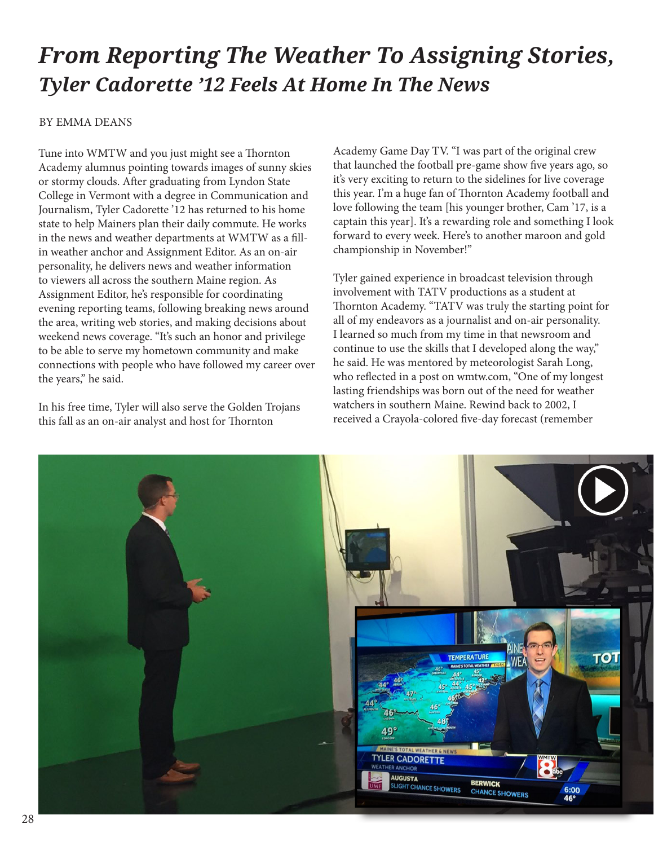## *From Reporting The Weather To Assigning Stories, Tyler Cadorette '12 Feels At Home In The News*

## BY EMMA DEANS

Tune into WMTW and you just might see a Thornton Academy alumnus pointing towards images of sunny skies or stormy clouds. Afer graduating from Lyndon State College in Vermont with a degree in Communication and Journalism, Tyler Cadorette '12 has returned to his home state to help Mainers plan their daily commute. He works in the news and weather departments at WMTW as a fllin weather anchor and Assignment Editor. As an on-air personality, he delivers news and weather information to viewers all across the southern Maine region. As Assignment Editor, he's responsible for coordinating evening reporting teams, following breaking news around the area, writing web stories, and making decisions about weekend news coverage. "It's such an honor and privilege to be able to serve my hometown community and make connections with people who have followed my career over the years," he said.

In his free time, Tyler will also serve the Golden Trojans this fall as an on-air analyst and host for Thornton

Academy Game Day TV. "I was part of the original crew that launched the football pre-game show fve years ago, so it's very exciting to return to the sidelines for live coverage this year. I'm a huge fan of Thornton Academy football and love following the team [his younger brother, Cam '17, is a captain this year]. It's a rewarding role and something I look forward to every week. Here's to another maroon and gold championship in November!"

Tyler gained experience in broadcast television through involvement with TATV productions as a student at Tornton Academy. "TATV was truly the starting point for all of my endeavors as a journalist and on-air personality. I learned so much from my time in that newsroom and continue to use the skills that I developed along the way," he said. He was mentored by meteorologist Sarah Long, who refected in a post on wmtw.com, "One of my longest lasting friendships was born out of the need for weather watchers in southern Maine. Rewind back to 2002, I received a Crayola-colored fve-day forecast (remember